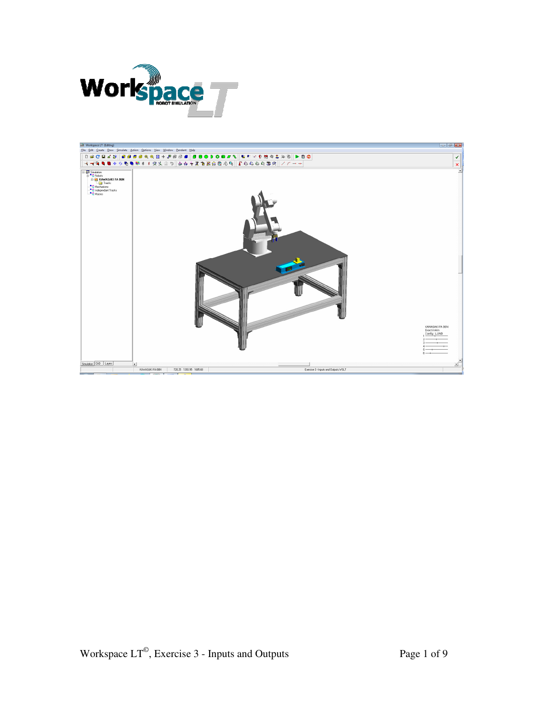

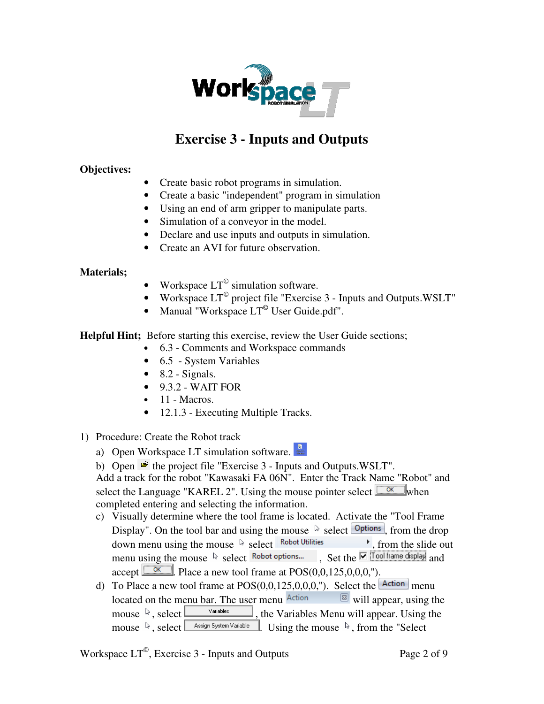

## **Exercise 3 - Inputs and Outputs**

## **Objectives:**

- Create basic robot programs in simulation.
- Create a basic "independent" program in simulation
- Using an end of arm gripper to manipulate parts.
- Simulation of a conveyor in the model.
- Declare and use inputs and outputs in simulation.
- Create an AVI for future observation.

## **Materials;**

- Workspace  $LT^{\circ}$  simulation software.
- Workspace  $LT^{\degree}$  project file "Exercise 3 Inputs and Outputs. WSLT"
- Manual "Workspace  $LT^{\circ}$  User Guide.pdf".

**Helpful Hint;** Before starting this exercise, review the User Guide sections;

- 6.3 Comments and Workspace commands
- 6.5 System Variables
- $\bullet$  8.2 Signals.
- $\bullet$  9.3.2 WAIT FOR
- $\bullet$  11 Macros.
- 12.1.3 Executing Multiple Tracks.

## 1) Procedure: Create the Robot track

- a) Open Workspace LT simulation software.
- b) Open  $\mathcal{F}$  the project file "Exercise 3 Inputs and Outputs.WSLT".

Add a track for the robot "Kawasaki FA 06N". Enter the Track Name "Robot" and select the Language "KAREL 2". Using the mouse pointer select  $\Box^{\alpha}$  when completed entering and selecting the information.

- c) Visually determine where the tool frame is located. Activate the "Tool Frame Display". On the tool bar and using the mouse  $\&$  select  $\boxed{\text{Options}}$ , from the drop down menu using the mouse  $\&$  select Robot Utilities , from the slide out menu using the mouse  $\sqrt[k]{\frac{1}{2}}$  select Robot options... , Set the  $\sqrt[k]{\frac{1}{2}}$  Tool frame display and  $\alpha$  accept  $\boxed{\_\alpha}$ . Place a new tool frame at POS(0,0,125,0,0,0,").
- d) To Place a new tool frame at  $POS(0,0,125,0,0,0,")$ . Select the  $\boxed{\text{Action}}$  menu located on the menu bar. The user menu  $\frac{\text{Action}}{\text{[N]}}$  will appear, using the mouse  $\sqrt[5]{ }$ , select  $\boxed{\phantom{a}$  variables **1.** the Variables Menu will appear. Using the mouse  $\sqrt[3]{\mathbb{R}}$ , select  $\sqrt{\frac{ {\text{A}} \cdot \text{Sign System Variable} }{N}}$ . Using the mouse  $\sqrt[3]{N}$ , from the "Select

Workspace  $LT^{\circ}$ , Exercise 3 - Inputs and Outputs Page 2 of 9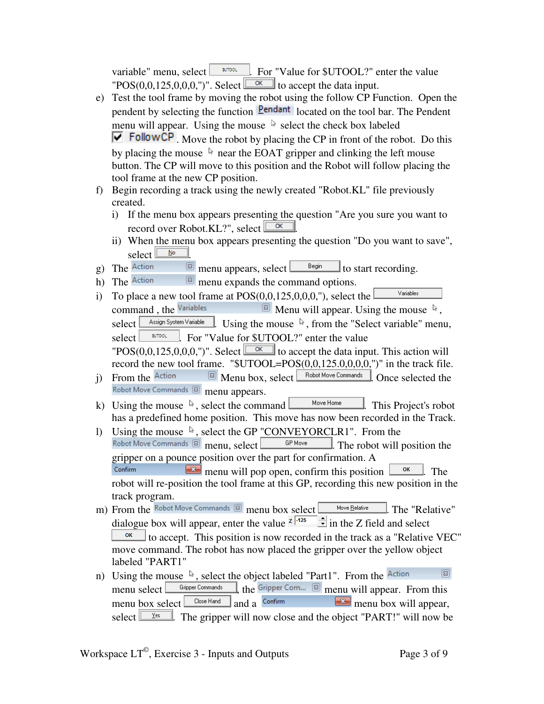variable" menu, select  $\Box$   $\Box$  For "Value for \$UTOOL?" enter the value  $"POS(0,0,125,0,0,0,")'$ . Select  $\boxed{\alpha}$  to accept the data input.

- e) Test the tool frame by moving the robot using the follow CP Function. Open the pendent by selecting the function **Pendant** located on the tool bar. The Pendent menu will appear. Using the mouse  $\&$  select the check box labeled  $\overline{M}$  FollowCP. Move the robot by placing the CP in front of the robot. Do this by placing the mouse  $\&$  near the EOAT gripper and clinking the left mouse button. The CP will move to this position and the Robot will follow placing the tool frame at the new CP position.
- f) Begin recording a track using the newly created "Robot.KL" file previously created.
	- i) If the menu box appears presenting the question "Are you sure you want to record over Robot.KL?", select  $\Box$
	- ii) When the menu box appears presenting the question "Do you want to save",
- select  $\frac{\mathbf{S}^{\text{in}}}{\mathbf{S}^{\text{out}}}$  $\boxed{\text{g}}$  menu appears, select  $\boxed{\text{Begin}}$  to start recording.
- h) The Action  $\boxtimes$  menu expands the command options.
- i) To place a new tool frame at POS(0,0,125,0,0,0,"), select the Variables command, the Variables  $\Box$  Menu will appear. Using the mouse  $\lambda$ , select  $\Box$  Assign System Variable  $\Box$  Using the mouse  $\Box$ , from the "Select variable" menu, select <u>where</u> For "Value for \$UTOOL?" enter the value "POS(0,0,125,0,0,0,")". Select  $\boxed{\Box \&}$  to accept the data input. This action will record the new tool frame. " $$UTOOL=POS(0,0,125.0,0,0,0,"$ " in the track file.
- i) From the  $\overline{\text{Action}}$   $\overline{\text{[B]}}$  Menu box, select  $\overline{\text{[Bobot Move Commons]}}$ . Once selected the Robot Move Commands **8** menu appears.
- k) Using the mouse  $\sqrt[k]{ }$ , select the command  $\boxed{\phantom{a} \phantom{a} \phantom{a}}$  Move Home  $\phantom{a}$ . This Project's robot has a predefined home position. This move has now been recorded in the Track.
- 1) Using the mouse  $\sqrt{ }$ , select the GP "CONVEYORCLR1". From the Robot Move Commands  $\boxtimes$  menu. select  $\boxed{ }$  GP Move  $\boxed{ }$ . The robot will p  $\frac{GP \text{ Move}}{F}$ . The robot will position the gripper on a pounce position over the part for confirmation. A Confirm  $\mathbb{R}$  menu will pop open, confirm this position  $\mathbb{R}$ . The robot will re-position the tool frame at this GP, recording this new position in the track program.
- m) From the Robot Move Commands a menu box select Move Relative . The "Relative" dialogue box will appear, enter the value  $\frac{z}{1.425}$  in the Z field and select  $\frac{K}{100}$  to accept. This position is now recorded in the track as a "Relative VEC" move command. The robot has now placed the gripper over the yellow object labeled "PART1"
- $\boxed{23}$ n) Using the mouse  $\sqrt[k]{ }$ , select the object labeled "Part1". From the Action menu select  $\boxed{\text{Gripper Commands}}$ , the Gripper Com...  $\boxed{\text{B}}$  menu will appear. From this menu box select  $\begin{array}{|c|c|c|}\n\hline \text{Clos } H \text{ and } \text{C} & \text{Confirm} \\
\hline \text{Clos } H \text{ and } \text{Confirm} & \text{Con firm} \\
\hline \text{Cos} & \text{Con firm} \\
\hline \text{Cos} & \text{Con firm} \\
\hline \text{Cos} & \text{Con firm} \\
\hline \text{Cos} & \text{Con firm} \\
\hline \text{Cos} & \text{Con firm} \\
\hline \text{Cos} & \text{Con firm} \\
\hline \text{Cos} & \text{Con firm} \\
\hline \$ select  $\frac{\gamma_{\text{es}}}{\gamma_{\text{es}}}$ . The gripper will now close and the object "PART!" will now be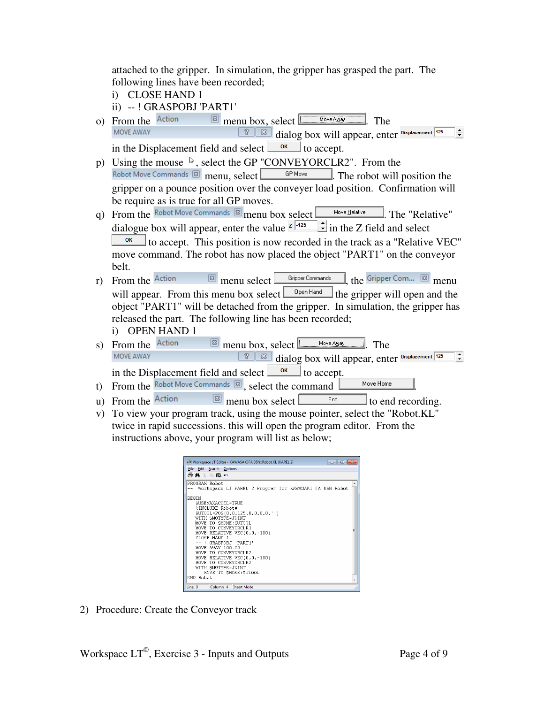attached to the gripper. In simulation, the gripper has grasped the part. The following lines have been recorded;

- i) CLOSE HAND 1
- ii) -- ! GRASPOBJ 'PART1'
- o) From the Action  $\boxtimes$  menu box, select  $\boxed{\Box_{\text{MoveAug}}}$ . The Move AWAY  $\boxed{8}$  dialog box will appear, enter Displacement 125  $\div$ in the Displacement field and select  $\frac{\alpha}{\alpha}$  to accept.
- p) Using the mouse  $\sqrt{k}$ , select the GP "CONVEYORCLR2". From the Robot Move Commands  $\boxed{\circledast}$  menu, select  $\boxed{\circledast}$   $\boxed{\circledast}$  The robot will position the gripper on a pounce position over the conveyer load position. Confirmation will be require as is true for all GP moves.
- q) From the Robot Move Commands 8 menu box select Move Relative . The "Relative" dialogue box will appear, enter the value  $\frac{z}{1}$  in the Z field and select to accept. This position is now recorded in the track as a "Relative VEC" move command. The robot has now placed the object "PART1" on the conveyor

belt.

- r) From the Action  $\boxtimes$  menu select  $\boxed{\text{Gripper Commands}}$ , the Gripper Com...  $\boxed{\text{S}}$  menu will appear. From this menu box select  $\Box$  <sup>Open Hand</sup>  $\Box$  the gripper will open and the object "PART1" will be detached from the gripper. In simulation, the gripper has released the part. The following line has been recorded;
	- i) OPEN HAND 1
- s) From the  $\frac{1}{\sqrt{2}}$  menu box, select  $\frac{1}{\sqrt{2}}$  Move Away  $\frac{1}{\sqrt{2}}$ . The MOVE AWAY  $\boxed{8}$  dialog box will appear, enter Displacement 125  $\div$ in the Displacement field and select  $\Box$ <sup>ok</sup> to accept.

t) From the Robot Move Commands  $\boxed{\text{S}}$ , select the command  $\boxed{\qquad \qquad \text{Move Home}}$ 

- u) From the  $\frac{\text{Action}}{\text{[m]}}$  menu box select  $\frac{\text{End}}{\text{[m]}}$  to end recording.
- v) To view your program track, using the mouse pointer, select the "Robot.KL" twice in rapid successions. this will open the program editor. From the instructions above, your program will list as below;



2) Procedure: Create the Conveyor track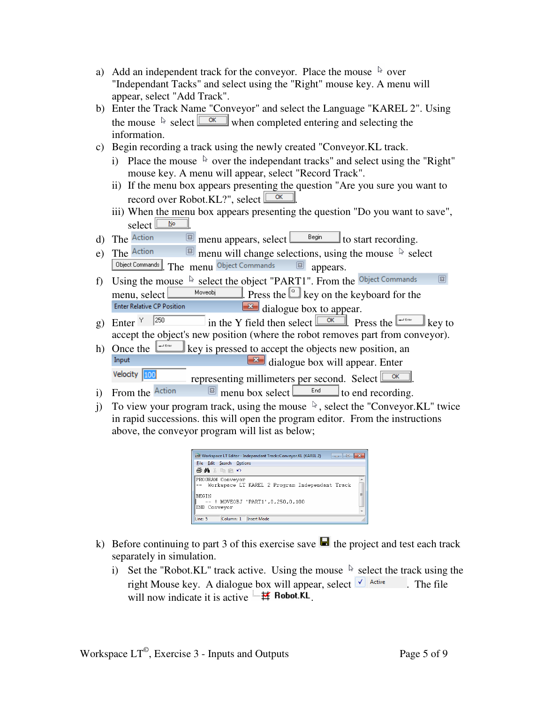- a) Add an independent track for the conveyor. Place the mouse  $\&$  over "Independant Tacks" and select using the "Right" mouse key. A menu will appear, select "Add Track".
- b) Enter the Track Name "Conveyor" and select the Language "KAREL 2". Using the mouse  $\sqrt[k]{\text{select}}$  when completed entering and selecting the information.
- c) Begin recording a track using the newly created "Conveyor.KL track.
	- i) Place the mouse  $\&$  over the independant tracks" and select using the "Right" mouse key. A menu will appear, select "Record Track".
	- ii) If the menu box appears presenting the question "Are you sure you want to record over Robot.KL?", select  $\sqrt{\frac{K}{K}}$ .
	- iii) When the menu box appears presenting the question "Do you want to save",
- select  $\frac{\mathbf{S}}{\mathbf{S}}$  and  $\mathbf{S}$  . The Action  $\boxed{\text{a}}$  menu appears, select  $\boxed{\text{B}}$  start recording.
- e) The  $\frac{1}{2}$  detion  $\frac{1}{2}$  menu will change selections, using the mouse  $\frac{1}{2}$  select **Object Commands** . The menu Object Commands **8** appears.
- f) Using the mouse  $\sqrt[k]{\text{select the object "PART1".}}$  From the Object Commands  $\boxed{23}$ menu, select  $\frac{Moveobi}{\text{Moseobi}}$ . Press the  $\text{e}$  key on the keyboard for the dialogue box to appear.
- g) Enter  $\frac{1}{1250}$  in the Y field then select  $\sqrt{\frac{6}{\sqrt{6}}}$ . Press the  $\sqrt{\frac{1}{1250}}$  key to accept the object's new position (where the robot removes part from conveyor).
- h) Once the  $\frac{1-\text{cos}\theta}{\text{cos}\theta}$  key is pressed to accept the objects new position, and  $\frac{1}{\sqrt{1-\theta}}$  dialogue box will ennear. Enter dialogue box will appear. Enter Velocity 100 representing millimeters per second. Select  $\sqrt{\alpha}$
- i) From the  $\frac{\text{Action}}{\text{[B]}}$  menu box select  $\frac{\text{End}}{\text{[B]}}$  to end recording.
- j) To view your program track, using the mouse  $\mathbb{R}$ , select the "Conveyor.KL" twice in rapid successions. this will open the program editor. From the instructions above, the conveyor program will list as below;

| LT Workspace LT Editor - Independant Track::Conveyor.KL (KAREL 2)<br>-- -<br><b>Edit</b> Search Options<br>File<br>●角☆面白の |   |
|---------------------------------------------------------------------------------------------------------------------------|---|
| PROGRAM Conveyor<br>Workspace LT KAREL 2 Program Independant Track                                                        | ۸ |
| <b>BEGIN</b><br>--   MOVEOBJ 'PART1'.0.250.0.100<br>END Conveyor                                                          | Ξ |
| Line: 5<br>Column: 1 Insert Mode                                                                                          |   |

- k) Before continuing to part 3 of this exercise save  $\blacksquare$  the project and test each track separately in simulation.
	- i) Set the "Robot.KL" track active. Using the mouse  $\&$  select the track using the right Mouse key. A dialogue box will appear, select  $\sqrt{\int_{0}^{1} A \cdot f \cdot f}$ . The file will now indicate it is active  $\mathbf{H}$  **Robot.KL**.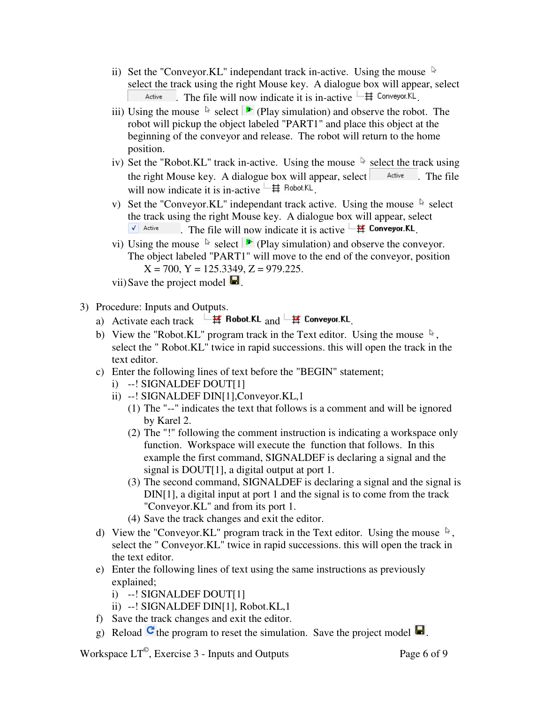- ii) Set the "Conveyor.KL" independant track in-active. Using the mouse  $\&$ select the track using the right Mouse key. A dialogue box will appear, select Active . The file will now indicate it is in-active  $\overline{H}$  Conveyor.KL.
- iii) Using the mouse  $\&$  select  $\triangleright$  (Play simulation) and observe the robot. The robot will pickup the object labeled "PART1" and place this object at the beginning of the conveyor and release. The robot will return to the home position.
- iv) Set the "Robot.KL" track in-active. Using the mouse  $\&$  select the track using the right Mouse key. A dialogue box will appear, select  $\left| \right|$  active . The file will now indicate it is in-active  $\Box \#$  Robot.KL.
- v) Set the "Conveyor.KL" independant track active. Using the mouse  $\sqrt[k]{ }$  select the track using the right Mouse key. A dialogue box will appear, select  $\blacktriangledown$  Active . The file will now indicate it is active  $\mathbf{H}$  **Conveyor.KL**.
- vi) Using the mouse  $\&$  select  $\triangleright$  (Play simulation) and observe the conveyor. The object labeled "PART1" will move to the end of the conveyor, position  $X = 700$ ,  $Y = 125.3349$ ,  $Z = 979.225$ .

vii) Save the project model  $\blacksquare$ .

- 3) Procedure: Inputs and Outputs.
	- a) Activate each track  $\frac{1-\frac{1}{2}}{\frac{1}{2}}$  Robot.KL and  $\frac{1-\frac{1}{2}}{\frac{1}{2}}$  Conveyor.KL
	- b) View the "Robot.KL" program track in the Text editor. Using the mouse  $\mathbb{R}$ , select the " Robot.KL" twice in rapid successions. this will open the track in the text editor.
	- c) Enter the following lines of text before the "BEGIN" statement;
		- i) --! SIGNALDEF DOUT[1]
		- ii) --! SIGNALDEF DIN[1],Conveyor.KL,1
			- (1) The "--" indicates the text that follows is a comment and will be ignored by Karel 2.
			- (2) The "!" following the comment instruction is indicating a workspace only function. Workspace will execute the function that follows. In this example the first command, SIGNALDEF is declaring a signal and the signal is DOUT[1], a digital output at port 1.
			- (3) The second command, SIGNALDEF is declaring a signal and the signal is DIN[1], a digital input at port 1 and the signal is to come from the track "Conveyor.KL" and from its port 1.
			- (4) Save the track changes and exit the editor.
	- d) View the "Conveyor.KL" program track in the Text editor. Using the mouse  $\mathbb{R}$ , select the " Conveyor.KL" twice in rapid successions. this will open the track in the text editor.
	- e) Enter the following lines of text using the same instructions as previously explained;
		- i) --! SIGNALDEF DOUT[1]
		- ii) --! SIGNALDEF DIN[1], Robot.KL,1
	- f) Save the track changes and exit the editor.
	- g) Reload  $\mathbf{C}$  the program to reset the simulation. Save the project model  $\blacksquare$ .

Workspace  $LT^{\circ}$ , Exercise 3 - Inputs and Outputs Page 6 of 9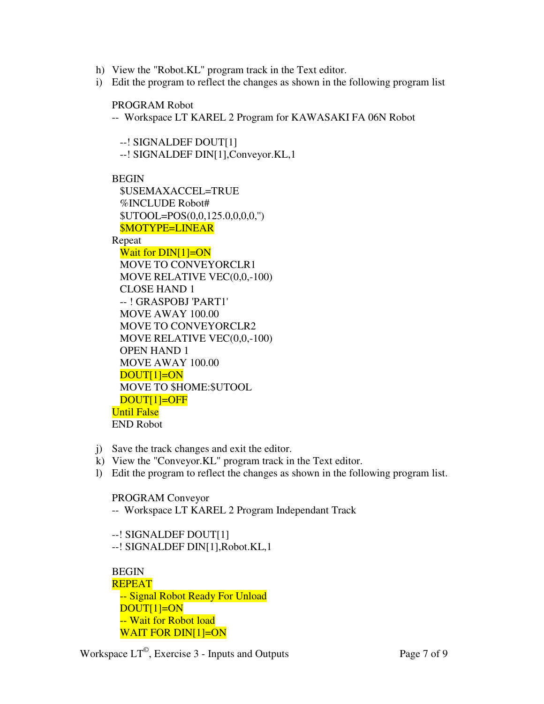- h) View the "Robot.KL" program track in the Text editor.
- i) Edit the program to reflect the changes as shown in the following program list

PROGRAM Robot

-- Workspace LT KAREL 2 Program for KAWASAKI FA 06N Robot

 --! SIGNALDEF DOUT[1] --! SIGNALDEF DIN[1],Conveyor.KL,1

BEGIN

 \$USEMAXACCEL=TRUE %INCLUDE Robot# \$UTOOL=POS(0,0,125.0,0,0,0,'') \$MOTYPE=LINEAR

Repeat

Wait for DIN[1]=ON MOVE TO CONVEYORCLR1 MOVE RELATIVE VEC(0,0,-100) CLOSE HAND 1 -- ! GRASPOBJ 'PART1' MOVE AWAY 100.00 MOVE TO CONVEYORCLR2 MOVE RELATIVE VEC(0,0,-100) OPEN HAND 1 MOVE AWAY 100.00 DOUT[1]=ON MOVE TO \$HOME:\$UTOOL DOUT[1]=OFF Until False END Robot

- j) Save the track changes and exit the editor.
- k) View the "Conveyor.KL" program track in the Text editor.
- l) Edit the program to reflect the changes as shown in the following program list.

PROGRAM Conveyor

-- Workspace LT KAREL 2 Program Independant Track

 --! SIGNALDEF DOUT[1] --! SIGNALDEF DIN[1],Robot.KL,1

**BEGIN**  REPEAT -- Signal Robot Ready For Unload DOUT[1]=ON -- Wait for Robot load WAIT FOR DIN[1]=ON

Workspace  $LT^{\circ}$ , Exercise 3 - Inputs and Outputs Page 7 of 9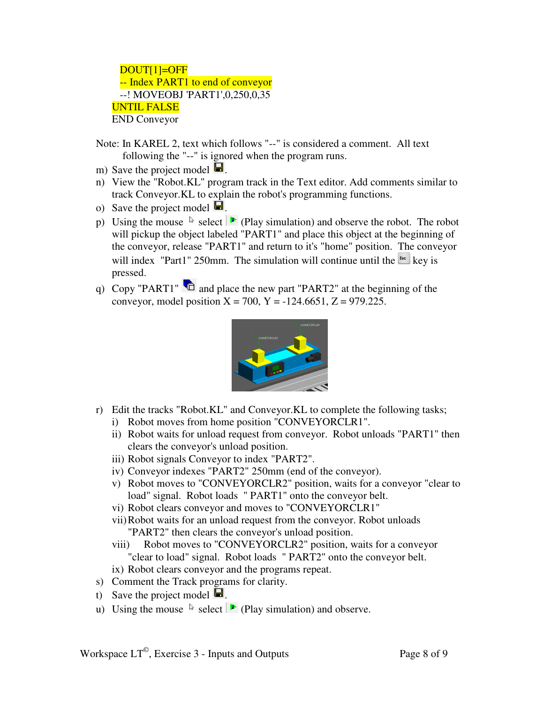DOUT[1]=OFF -- Index PART1 to end of conveyor --! MOVEOBJ 'PART1',0,250,0,35 UNTIL FALSE END Conveyor

- Note: In KAREL 2, text which follows "--" is considered a comment. All text following the "--" is ignored when the program runs.
- m) Save the project model  $\blacksquare$ .
- n) View the "Robot.KL" program track in the Text editor. Add comments similar to track Conveyor.KL to explain the robot's programming functions.
- o) Save the project model  $\blacksquare$ .
- p) Using the mouse  $\&$  select  $\rightarrow$  (Play simulation) and observe the robot. The robot will pickup the object labeled "PART1" and place this object at the beginning of the conveyor, release "PART1" and return to it's "home" position. The conveyor will index "Part1" 250mm. The simulation will continue until the  $\frac{1}{100}$  key is pressed.
- q) Copy "PART1"  $\bullet$  and place the new part "PART2" at the beginning of the conveyor, model position  $X = 700$ ,  $Y = -124.6651$ ,  $Z = 979.225$ .



- r) Edit the tracks "Robot.KL" and Conveyor.KL to complete the following tasks;
	- i) Robot moves from home position "CONVEYORCLR1".
	- ii) Robot waits for unload request from conveyor. Robot unloads "PART1" then clears the conveyor's unload position.
	- iii) Robot signals Conveyor to index "PART2".
	- iv) Conveyor indexes "PART2" 250mm (end of the conveyor).
	- v) Robot moves to "CONVEYORCLR2" position, waits for a conveyor "clear to load" signal. Robot loads " PART1" onto the conveyor belt.
	- vi) Robot clears conveyor and moves to "CONVEYORCLR1"
	- vii)Robot waits for an unload request from the conveyor. Robot unloads "PART2" then clears the conveyor's unload position.
	- viii) Robot moves to "CONVEYORCLR2" position, waits for a conveyor "clear to load" signal. Robot loads " PART2" onto the conveyor belt.
	- ix) Robot clears conveyor and the programs repeat.
- s) Comment the Track programs for clarity.
- t) Save the project model  $\blacksquare$ .
- u) Using the mouse  $\&$  select  $\triangleright$  (Play simulation) and observe.